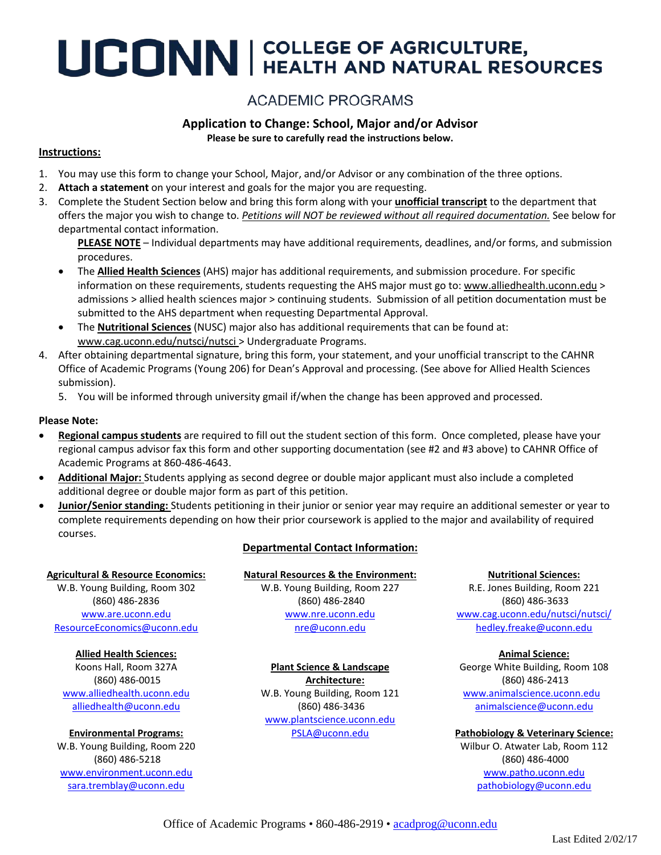# UCONN | COLLEGE OF AGRICULTURE,

## **ACADEMIC PROGRAMS**

## **Application to Change: School, Major and/or Advisor**

**Please be sure to carefully read the instructions below.**

#### **Instructions:**

- 1. You may use this form to change your School, Major, and/or Advisor or any combination of the three options.
- 2. **Attach a statement** on your interest and goals for the major you are requesting.
- 3. Complete the Student Section below and bring this form along with your **unofficial transcript** to the department that offers the major you wish to change to. *Petitions will NOT be reviewed without all required documentation.* See below for departmental contact information.

**PLEASE NOTE** – Individual departments may have additional requirements, deadlines, and/or forms, and submission procedures.

- The **Allied Health Sciences** (AHS) major has additional requirements, and submission procedure. For specific information on these requirements, students requesting the AHS major must go to: [www.alliedhealth.uconn.edu](http://www.alliedhealth.uconn.edu/) > admissions > allied health sciences major > continuing students. Submission of all petition documentation must be submitted to the AHS department when requesting Departmental Approval.
- The **Nutritional Sciences** (NUSC) major also has additional requirements that can be found at: [www.cag.uconn.edu/nutsci/nutsci](http://www.cag.uconn.edu/nutsci/nutsci) > Undergraduate Programs.
- 4. After obtaining departmental signature, bring this form, your statement, and your unofficial transcript to the CAHNR Office of Academic Programs (Young 206) for Dean's Approval and processing. (See above for Allied Health Sciences submission).
	- 5. You will be informed through university gmail if/when the change has been approved and processed.

#### **Please Note:**

- **Regional campus students** are required to fill out the student section of this form. Once completed, please have your regional campus advisor fax this form and other supporting documentation (see #2 and #3 above) to CAHNR Office of Academic Programs at 860-486-4643.
- **Additional Major:** Students applying as second degree or double major applicant must also include a completed additional degree or double major form as part of this petition.
- **Junior/Senior standing:** Students petitioning in their junior or senior year may require an additional semester or year to complete requirements depending on how their prior coursework is applied to the major and availability of required courses.

#### **Agricultural & Resource Economics:**

W.B. Young Building, Room 302 (860) 486-2836 [www.are.uconn.edu](http://www.are.uconn.edu/) [ResourceEconomics@uconn.edu](mailto:ResourceEconomics@uconn.edu)

**Allied Health Sciences:** Koons Hall, Room 327A (860) 486-0015 [www.alliedhealth.uconn.edu](http://www.alliedhealth.uconn.edu/) [alliedhealth@uconn.edu](mailto:alliedhealth@uconn.edu)

**Environmental Programs:** W.B. Young Building, Room 220 (860) 486-5218 [www.environment.uconn.edu](http://www.environment.uconn.edu/) [sara.tremblay@uconn.edu](mailto:sara.tremblay@uconn.edu)

#### **Departmental Contact Information:**

**Natural Resources & the Environment:** W.B. Young Building, Room 227 (860) 486-2840 [www.nre.uconn.edu](http://www.nre.uconn.edu/) [nre@uconn.edu](mailto:nre@uconn.edu)

#### **Plant Science & Landscape**

**Architecture:** W.B. Young Building, Room 121 (860) 486-3436 [www.plantscience.uconn.edu](http://www.plantscience.uconn.edu/) [PSLA@uconn.edu](mailto:PSLA@uconn.edu)

**Nutritional Sciences:** R.E. Jones Building, Room 221 (860) 486-3633 [www.cag.uconn.edu/nutsci/nutsci/](http://www.cag.uconn.edu/nutsci/nutsci/) [hedley.freake@uconn.edu](mailto:hedley.freake@uconn.edu)

**Animal Science:** George White Building, Room 108 (860) 486-2413 [www.animalscience.uconn.edu](http://www.animalscience.uconn.edu/) [animalscience@uconn.edu](mailto:animalscience@uconn.edu)

**Pathobiology & Veterinary Science:** Wilbur O. Atwater Lab, Room 112 (860) 486-4000 [www.patho.uconn.edu](http://www.patho.uconn.edu/) [pathobiology@uconn.edu](mailto:pathobiology@uconn.edu)